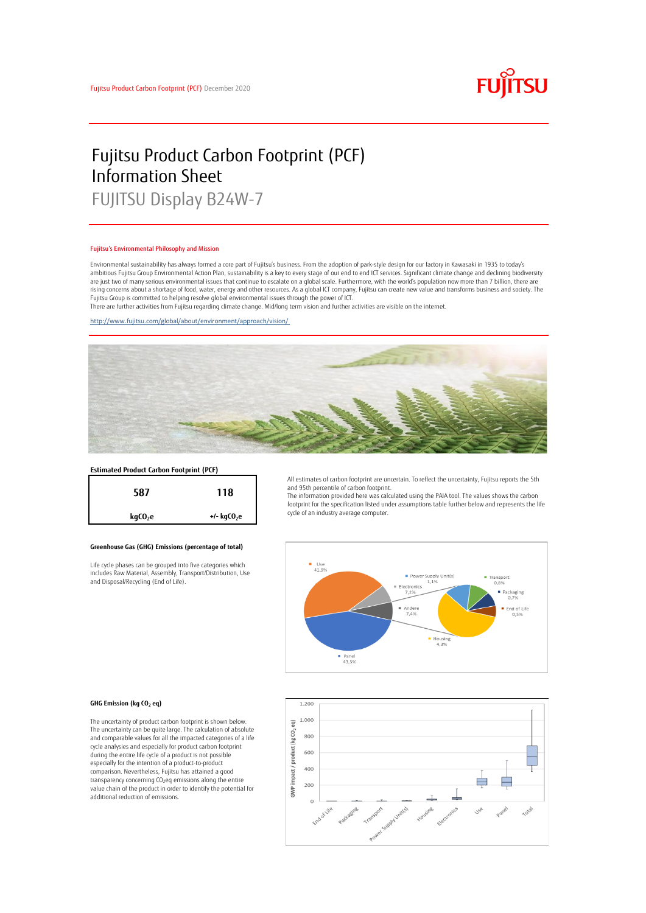

# Fujitsu Product Carbon Footprint (PCF) Information Sheet

FUJITSU Display B24W-7

#### Fujitsu's Environmental Philosophy and Mission

Environmental sustainability has always formed a core part of Fujitsu's business. From the adoption of park-style design for our factory in Kawasaki in 1935 to today's ambitious Fujitsu Group Environmental Action Plan, sustainability is a key to every stage of our end to end ICT services. Significant climate change and declining biodiversity are just two of many serious environmental issues that continue to escalate on a global scale. Furthermore, with the world's population now more than 7 billion, there are<br>rising concerns about a shortage of food, water, en Fujitsu Group is committed to helping resolve global environmental issues through the power of ICT.

There are further activities from Fujitsu regarding climate change. Mid/long term vision and further activities are visible on the internet.

<http://www.fujitsu.com/global/about/environment/approach/vision/>



# **Estimated Product Carbon Footprint (PCF)**



### **Greenhouse Gas (GHG) Emissions (percentage of total)**

Life cycle phases can be grouped into five categories which includes Raw Material, Assembly, Transport/Distribution, Use and Disposal/Recycling (End of Life).

All estimates of carbon footprint are uncertain. To reflect the uncertainty, Fujitsu reports the 5th and 95th percentile of carbon footprint.

The information provided here was calculated using the PAIA tool. The values shows the carbon footprint for the specification listed under assumptions table further below and represents the life cycle of an industry average computer.



#### **GHG Emission (kg CO<sup>2</sup> eq)**

The uncertainty of product carbon footprint is shown below. The uncertainty can be quite large. The calculation of absolute and comparable values for all the impacted categories of a life cycle analysies and especially for product carbon footprint during the entire life cycle of a product is not possible especially for the intention of a product-to-product comparison. Nevertheless, Fujitsu has attained a good transparency concerning CO2eq emissions along the entire value chain of the product in order to identify the potential for additional reduction of emissions.